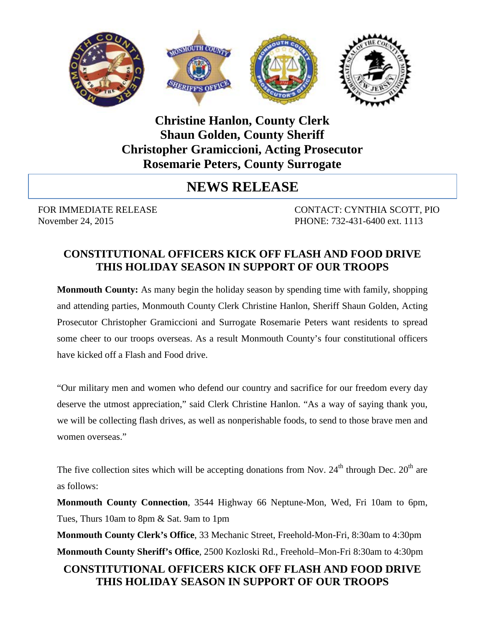

## **Christine Hanlon, County Clerk Shaun Golden, County Sheriff Christopher Gramiccioni, Acting Prosecutor Rosemarie Peters, County Surrogate**

# **NEWS RELEASE**

FOR IMMEDIATE RELEASE CONTACT: CYNTHIA SCOTT, PIO November 24, 2015 PHONE: 732-431-6400 ext. 1113

### **CONSTITUTIONAL OFFICERS KICK OFF FLASH AND FOOD DRIVE THIS HOLIDAY SEASON IN SUPPORT OF OUR TROOPS**

**Monmouth County:** As many begin the holiday season by spending time with family, shopping and attending parties, Monmouth County Clerk Christine Hanlon, Sheriff Shaun Golden, Acting Prosecutor Christopher Gramiccioni and Surrogate Rosemarie Peters want residents to spread some cheer to our troops overseas. As a result Monmouth County's four constitutional officers have kicked off a Flash and Food drive.

"Our military men and women who defend our country and sacrifice for our freedom every day deserve the utmost appreciation," said Clerk Christine Hanlon. "As a way of saying thank you, we will be collecting flash drives, as well as nonperishable foods, to send to those brave men and women overseas."

The five collection sites which will be accepting donations from Nov.  $24<sup>th</sup>$  through Dec.  $20<sup>th</sup>$  are as follows:

**Monmouth County Connection**, 3544 Highway 66 Neptune-Mon, Wed, Fri 10am to 6pm, Tues, Thurs 10am to 8pm & Sat. 9am to 1pm

**Monmouth County Clerk's Office**, 33 Mechanic Street, Freehold-Mon-Fri, 8:30am to 4:30pm **Monmouth County Sheriff's Office**, 2500 Kozloski Rd., Freehold–Mon-Fri 8:30am to 4:30pm

### **CONSTITUTIONAL OFFICERS KICK OFF FLASH AND FOOD DRIVE THIS HOLIDAY SEASON IN SUPPORT OF OUR TROOPS**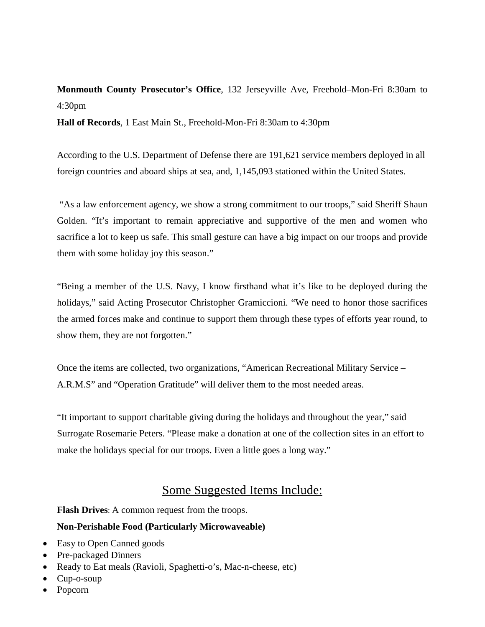## **Monmouth County Prosecutor's Office**, 132 Jerseyville Ave, Freehold–Mon-Fri 8:30am to 4:30pm

**Hall of Records**, 1 East Main St., Freehold-Mon-Fri 8:30am to 4:30pm

According to the U.S. Department of Defense there are 191,621 service members deployed in all foreign countries and aboard ships at sea, and, 1,145,093 stationed within the United States.

"As a law enforcement agency, we show a strong commitment to our troops," said Sheriff Shaun Golden. "It's important to remain appreciative and supportive of the men and women who sacrifice a lot to keep us safe. This small gesture can have a big impact on our troops and provide them with some holiday joy this season."

"Being a member of the U.S. Navy, I know firsthand what it's like to be deployed during the holidays," said Acting Prosecutor Christopher Gramiccioni. "We need to honor those sacrifices the armed forces make and continue to support them through these types of efforts year round, to show them, they are not forgotten."

Once the items are collected, two organizations, "American Recreational Military Service – A.R.M.S" and "Operation Gratitude" will deliver them to the most needed areas.

"It important to support charitable giving during the holidays and throughout the year," said Surrogate Rosemarie Peters. "Please make a donation at one of the collection sites in an effort to make the holidays special for our troops. Even a little goes a long way."

#### Some Suggested Items Include:

**Flash Drives**: A common request from the troops.

#### **Non-Perishable Food (Particularly Microwaveable)**

- Easy to Open Canned goods
- Pre-packaged Dinners
- Ready to Eat meals (Ravioli, Spaghetti-o's, Mac-n-cheese, etc)
- Cup-o-soup
- Popcorn